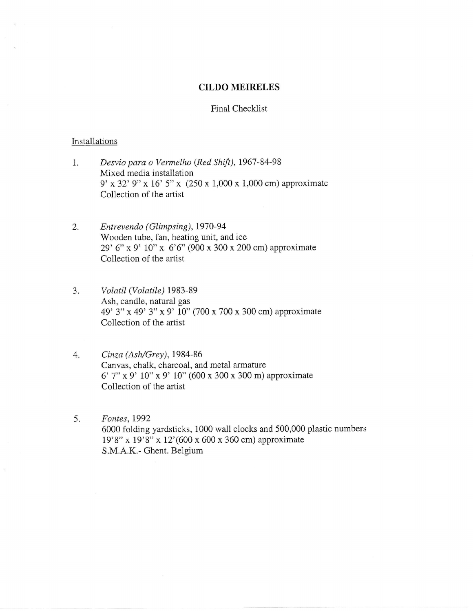## CILDO MEIRELES

#### Final Checklist

### Installations

- 1. Desvio para o Vermelho (Red Shift), 1967-84-98 Mixed media installation 9' x32' 9" x 16' 5" x (250 x 1,000 x 1,000 cm) approximate Collection of the artist
- 2. Entrevendo (Glimpsing), 1970-94 Wooden tube, fan, heating unit, and ice 29' 6" x 9' 10" x 6'6" (900 x 300 x 200 cm) approximate Collection of the artist
- 3. Volatil (Volatile) 1983-89 Ash, candle, natural gas 49' 3" x 49' 3" x 9' 10" (700 x 700 x 300 cm) approximate Collection of the artist
- 4. Cinza (Ash/Grey), 1984-86 Canvas, chalk, charcoal, and metal armature 6' 7" x 9' 10" x 9' 10" (600 x 300 x 300 m) approximate Collection of the artist
- 5. Fontes,1992 6000 folding yardsticks, 1000 wall clocks and 500,000 plastic numbers 19'8" x 19'8" x 12'(600 x 600 x 360 cm) approximate S.M.A.K.- Ghent. Belgium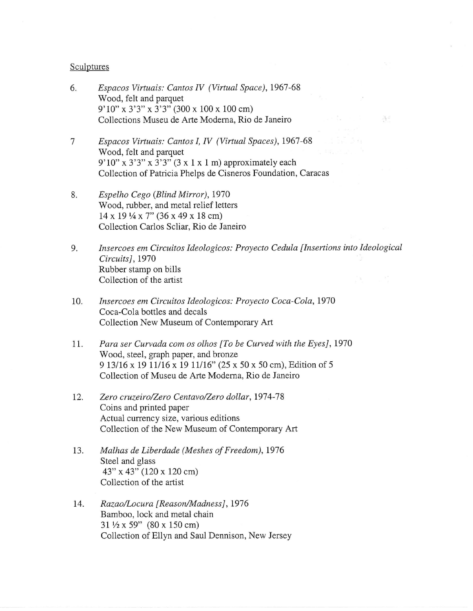#### Sculptures

- 6. Espacos Virtuais: Cantos IV (Virtual Space),1967-68 Wood, felt and parquet 9'10" x 3'3" x 3'3" (300 x 100 x 100 cm) Collections Museu de Arte Moderna, Rio de Janeiro
- 7 Espacos Virtuais: Cantos I, IV (Virtual Spaces), 1967-68 Wood, felt and parquet  $9'10''$  x  $3'3''$  x  $3'3''$  (3 x 1 x 1 m) approximately each Collection of Patricia Phelps de Cisneros Foundation, Caracas
- 8. Espelho Cego (Blind Mirror),1970 Wood, rubber, and metal relief letters  $14 \times 19\frac{1}{4} \times 7$ " (36 x 49 x 18 cm) Collection Carlos Scliar, Rio de Janeiro
- 9. Insercoes em Circuitos ldeologicos: Proyecto Cedula [Insertions into ldeological Circuits], 1970 Rubber stamp on bills Collection of the artist

 $\mathcal{X}^1$ 

- 10. Insercoes em Circuitos Ideologicos: Proyecto Coca-Cola, 1970 Coca-Cola bottles and decals Collection New Museum of Contemporary Art
- 11. Para ser Curvada com os olhos [To be Curved with the Eyes], <sup>1970</sup> Wood, steel, graph paper, and bronze 9 13/16 x 19 11/16 x 19 11/16" (25 x 50 x 50 cm), Edition of 5 Collection of Museu de Arte Moderna, Rio de Janeiro
- 12. Zero cruzeiro/Zero Centavo/Zero dollar, 1974-78 Coins and printed papor Actual currency size, various editions Collection of the New Museum of Contemporary At
- 13. Malhas de Liberdade (Meshes of Freedom),1976 Steel and glass 43" x 43" (120 x 120 cm) Collection of the artist
- 14. Razao/Locura [Reason/Madness], 1976 Bamboo, lock and metal chain  $31\frac{1}{2} \times 59$ " (80 x 150 cm) Collection of Ellyn and Saul Dennison, New Jersey